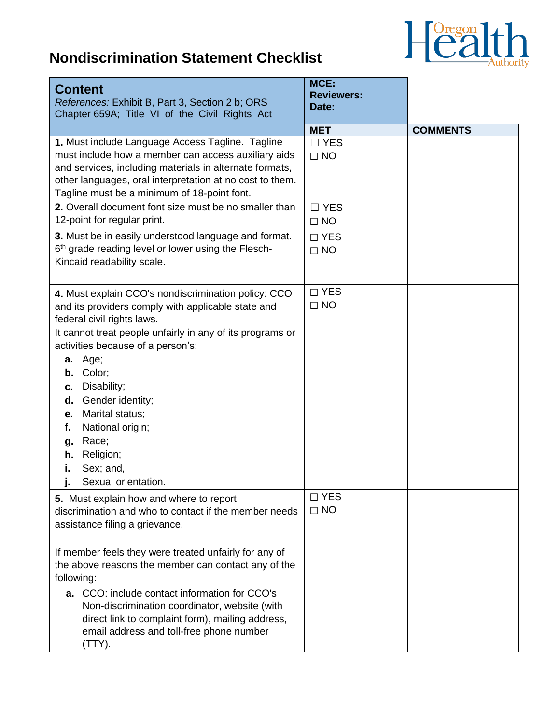

## **Nondiscrimination Statement Checklist**

| <b>Content</b><br>References: Exhibit B, Part 3, Section 2 b; ORS<br>Chapter 659A; Title VI of the Civil Rights Act                                                                                                                                                                                                                                                                                                                                                                 | MCE:<br><b>Reviewers:</b><br>Date:    |                 |
|-------------------------------------------------------------------------------------------------------------------------------------------------------------------------------------------------------------------------------------------------------------------------------------------------------------------------------------------------------------------------------------------------------------------------------------------------------------------------------------|---------------------------------------|-----------------|
| 1. Must include Language Access Tagline. Tagline<br>must include how a member can access auxiliary aids<br>and services, including materials in alternate formats,<br>other languages, oral interpretation at no cost to them.                                                                                                                                                                                                                                                      | <b>MET</b><br>$\Box$ YES<br>$\Box$ NO | <b>COMMENTS</b> |
| Tagline must be a minimum of 18-point font.<br>2. Overall document font size must be no smaller than<br>12-point for regular print.                                                                                                                                                                                                                                                                                                                                                 | $\Box$ YES<br>$\Box$ NO               |                 |
| 3. Must be in easily understood language and format.<br>6th grade reading level or lower using the Flesch-<br>Kincaid readability scale.                                                                                                                                                                                                                                                                                                                                            | $\Box$ YES<br>$\Box$ NO               |                 |
| 4. Must explain CCO's nondiscrimination policy: CCO<br>and its providers comply with applicable state and<br>federal civil rights laws.<br>It cannot treat people unfairly in any of its programs or<br>activities because of a person's:<br>Age;<br>а.<br>Color;<br>b.<br>Disability;<br>c.<br>Gender identity;<br>d.<br>Marital status;<br>е.<br>National origin;<br>f.<br>Race;<br>g.<br>Religion;<br>h.<br>Sex; and,<br>i.<br>Sexual orientation.                               | $\Box$ YES<br>$\Box$ NO               |                 |
| 5. Must explain how and where to report<br>discrimination and who to contact if the member needs<br>assistance filing a grievance.<br>If member feels they were treated unfairly for any of<br>the above reasons the member can contact any of the<br>following:<br><b>a.</b> CCO: include contact information for CCO's<br>Non-discrimination coordinator, website (with<br>direct link to complaint form), mailing address,<br>email address and toll-free phone number<br>(TTY). | $\square$ YES<br>$\Box$ NO            |                 |